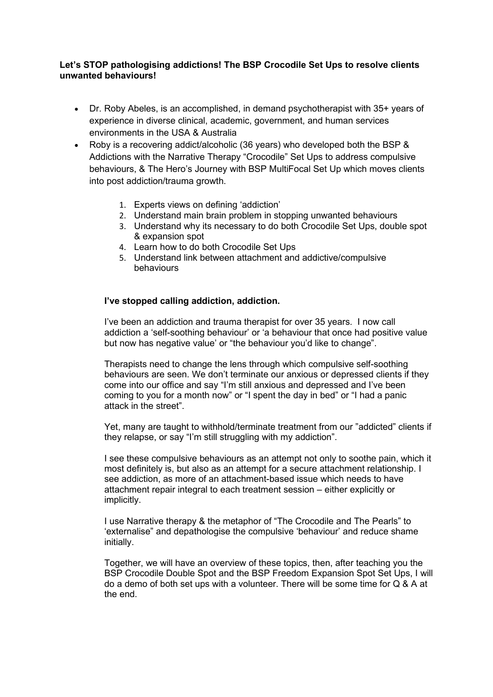## **Let's STOP pathologising addictions! The BSP Crocodile Set Ups to resolve clients unwanted behaviours!**

- Dr. Roby Abeles, is an accomplished, in demand psychotherapist with 35+ years of experience in diverse clinical, academic, government, and human services environments in the USA & Australia
- Roby is a recovering addict/alcoholic (36 years) who developed both the BSP & Addictions with the Narrative Therapy "Crocodile" Set Ups to address compulsive behaviours, & The Hero's Journey with BSP MultiFocal Set Up which moves clients into post addiction/trauma growth.
	- 1. Experts views on defining 'addiction'
	- 2. Understand main brain problem in stopping unwanted behaviours
	- 3. Understand why its necessary to do both Crocodile Set Ups, double spot & expansion spot
	- 4. Learn how to do both Crocodile Set Ups
	- 5. Understand link between attachment and addictive/compulsive behaviours

## **I've stopped calling addiction, addiction.**

I've been an addiction and trauma therapist for over 35 years. I now call addiction a 'self-soothing behaviour' or 'a behaviour that once had positive value but now has negative value' or "the behaviour you'd like to change".

Therapists need to change the lens through which compulsive self-soothing behaviours are seen. We don't terminate our anxious or depressed clients if they come into our office and say "I'm still anxious and depressed and I've been coming to you for a month now" or "I spent the day in bed" or "I had a panic attack in the street".

Yet, many are taught to withhold/terminate treatment from our "addicted" clients if they relapse, or say "I'm still struggling with my addiction".

I see these compulsive behaviours as an attempt not only to soothe pain, which it most definitely is, but also as an attempt for a secure attachment relationship. I see addiction, as more of an attachment-based issue which needs to have attachment repair integral to each treatment session – either explicitly or implicitly.

I use Narrative therapy & the metaphor of "The Crocodile and The Pearls" to 'externalise" and depathologise the compulsive 'behaviour' and reduce shame initially.

Together, we will have an overview of these topics, then, after teaching you the BSP Crocodile Double Spot and the BSP Freedom Expansion Spot Set Ups, I will do a demo of both set ups with a volunteer. There will be some time for Q & A at the end.